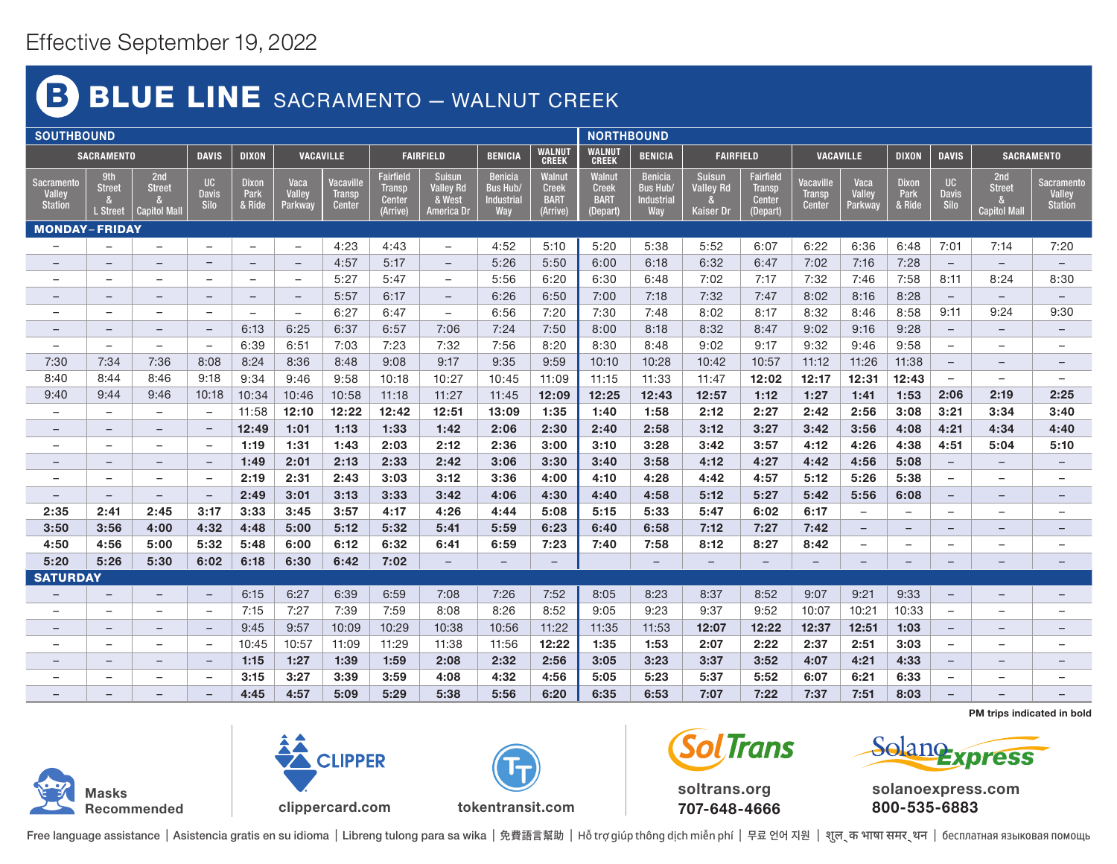## BLUE LINE SACRAMENTO - WALNUT CREEK B)

|                                                      | <b>SOUTHBOUND</b>                |                                     |                            |                                |                           |                                      |                                                         |                                                                  |                                                        |                                                  |                                                   |                                                        |                                                | <b>NORTHBOUND</b>                                              |                                      |                           |                                |                                   |                                             |                                                      |  |  |  |
|------------------------------------------------------|----------------------------------|-------------------------------------|----------------------------|--------------------------------|---------------------------|--------------------------------------|---------------------------------------------------------|------------------------------------------------------------------|--------------------------------------------------------|--------------------------------------------------|---------------------------------------------------|--------------------------------------------------------|------------------------------------------------|----------------------------------------------------------------|--------------------------------------|---------------------------|--------------------------------|-----------------------------------|---------------------------------------------|------------------------------------------------------|--|--|--|
| <b>SACRAMENTO</b>                                    |                                  |                                     | <b>DAVIS</b>               | <b>DIXON</b>                   | <b>VACAVILLE</b>          |                                      | <b>FAIRFIELD</b>                                        |                                                                  | <b>BENICIA</b>                                         | <b>WALNUT</b><br><b>CREEK</b>                    | <b>WALNUT</b><br><b>CREEK</b>                     | <b>BENICIA</b>                                         | <b>FAIRFIELD</b>                               |                                                                | <b>VACAVILLE</b>                     |                           | <b>DIXON</b>                   | <b>DAVIS</b>                      | <b>SACRAMENTO</b>                           |                                                      |  |  |  |
| <b>Sacramento</b><br><b>Valley</b><br><b>Station</b> | 9th<br><b>Street</b><br>L Street | 2nd<br><b>Street</b><br>Capitol Mal | UC<br><b>Davis</b><br>Silo | <b>Dixon</b><br>Park<br>& Ride | Vaca<br>Valley<br>Parkway | Vacaville<br><b>Transp</b><br>Center | Fairfield<br><b>Transp</b><br><b>Center</b><br>(Arrive) | <b>Suisun</b><br><b>Valley Rd</b><br>& West<br><b>America Dr</b> | <b>Benicia</b><br><b>Bus Hub.</b><br>Industrial<br>Way | Walnut<br><b>Creek</b><br><b>BART</b><br>(Arrive | Walnut<br><b>Creek</b><br><b>BART</b><br>(Depart) | <b>Benicia</b><br><b>Bus Hub/</b><br>Industrial<br>Way | <b>Suisun</b><br><b>Valley Rd</b><br>Kaiser Dr | <b>Fairfield</b><br><b>Transp</b><br><b>Center</b><br>(Depart) | Vacaville<br><b>Transp</b><br>Center | Vaca<br>Valley<br>Parkway | <b>Dixon</b><br>Park<br>& Ride | UC<br><b>Davis</b><br><b>Silo</b> | 2nd<br><b>Street</b><br><b>Capitol Mall</b> | <b>Sacramento</b><br><b>Valley</b><br><b>Station</b> |  |  |  |
| <b>MONDAY-FRIDAY</b>                                 |                                  |                                     |                            |                                |                           |                                      |                                                         |                                                                  |                                                        |                                                  |                                                   |                                                        |                                                |                                                                |                                      |                           |                                |                                   |                                             |                                                      |  |  |  |
|                                                      |                                  | $\overline{\phantom{m}}$            | $\frac{1}{2}$              | $\overline{\phantom{0}}$       | $\overline{\phantom{m}}$  | 4:23                                 | 4:43                                                    | $\overline{\phantom{m}}$                                         | 4:52                                                   | 5:10                                             | 5:20                                              | 5:38                                                   | 5:52                                           | 6:07                                                           | 6:22                                 | 6:36                      | 6:48                           | 7:01                              | 7:14                                        | 7:20                                                 |  |  |  |
|                                                      | $\overline{\phantom{m}}$         | $-$                                 | $\qquad \qquad -$          | $-$                            | $\overline{\phantom{m}}$  | 4:57                                 | 5:17                                                    | $\overline{\phantom{m}}$                                         | 5:26                                                   | 5:50                                             | 6:00                                              | 6:18                                                   | 6:32                                           | 6:47                                                           | 7:02                                 | 7:16                      | 7:28                           | $\overline{\phantom{a}}$          | $-$                                         | $\equiv$                                             |  |  |  |
|                                                      | $\overline{\phantom{m}}$         | $\overline{\phantom{m}}$            | $\overline{\phantom{a}}$   | -                              | $\qquad \qquad -$         | 5:27                                 | 5:47                                                    | $\overline{\phantom{a}}$                                         | 5:56                                                   | 6:20                                             | 6:30                                              | 6:48                                                   | 7:02                                           | 7:17                                                           | 7:32                                 | 7:46                      | 7:58                           | 8:11                              | 8:24                                        | 8:30                                                 |  |  |  |
| $\qquad \qquad -$                                    | $\qquad \qquad -$                | $-$                                 | $-$                        | $\qquad \qquad -$              | $-$                       | 5:57                                 | 6:17                                                    | $\qquad \qquad -$                                                | 6:26                                                   | 6:50                                             | 7:00                                              | 7:18                                                   | 7:32                                           | 7:47                                                           | 8:02                                 | 8:16                      | 8:28                           | $-$                               | $\overline{\phantom{m}}$                    | $\qquad \qquad -$                                    |  |  |  |
| $\equiv$                                             | $-$                              | $\overline{\phantom{0}}$            | $\qquad \qquad -$          | -                              | $\overline{\phantom{m}}$  | 6:27                                 | 6:47                                                    | $\overline{\phantom{m}}$                                         | 6:56                                                   | 7:20                                             | 7:30                                              | 7:48                                                   | 8:02                                           | 8:17                                                           | 8:32                                 | 8:46                      | 8:58                           | 9:11                              | 9:24                                        | 9:30                                                 |  |  |  |
| $\overline{\phantom{0}}$                             | $\overline{\phantom{m}}$         | $\overline{\phantom{m}}$            | $-$                        | 6:13                           | 6:25                      | 6:37                                 | 6:57                                                    | 7:06                                                             | 7:24                                                   | 7:50                                             | 8:00                                              | 8:18                                                   | 8:32                                           | 8:47                                                           | 9:02                                 | 9:16                      | 9:28                           | $-$                               | $\overline{\phantom{0}}$                    | $\overline{\phantom{0}}$                             |  |  |  |
| $\overline{\phantom{0}}$                             | $\overline{\phantom{m}}$         | $\overline{\phantom{m}}$            | $\overline{\phantom{a}}$   | 6:39                           | 6:51                      | 7:03                                 | 7:23                                                    | 7:32                                                             | 7:56                                                   | 8:20                                             | 8:30                                              | 8:48                                                   | 9:02                                           | 9:17                                                           | 9:32                                 | 9:46                      | 9:58                           | -                                 | $\overline{\phantom{m}}$                    |                                                      |  |  |  |
| 7:30                                                 | 7:34                             | 7:36                                | 8:08                       | 8:24                           | 8:36                      | 8:48                                 | 9:08                                                    | 9:17                                                             | 9:35                                                   | 9:59                                             | 10:10                                             | 10:28                                                  | 10:42                                          | 10:57                                                          | 11:12                                | 11:26                     | 11:38                          | $\qquad \qquad -$                 | $\qquad \qquad -$                           | $\qquad \qquad -$                                    |  |  |  |
| 8:40                                                 | 8:44                             | 8:46                                | 9:18                       | 9:34                           | 9:46                      | 9:58                                 | 10:18                                                   | 10:27                                                            | 10:45                                                  | 11:09                                            | 11:15                                             | 11:33                                                  | 11:47                                          | 12:02                                                          | 12:17                                | 12:31                     | 12:43                          | $\overline{\phantom{m}}$          | $\overline{\phantom{m}}$                    | $\overline{\phantom{0}}$                             |  |  |  |
| 9:40                                                 | 9:44                             | 9:46                                | 10:18                      | 10:34                          | 10:46                     | 10:58                                | 11:18                                                   | 11:27                                                            | 11:45                                                  | 12:09                                            | 12:25                                             | 12:43                                                  | 12:57                                          | 1:12                                                           | 1:27                                 | 1:41                      | 1:53                           | 2:06                              | 2:19                                        | 2:25                                                 |  |  |  |
|                                                      | $\overline{\phantom{m}}$         | $\overline{\phantom{m}}$            | $\overline{\phantom{m}}$   | 11:58                          | 12:10                     | 12:22                                | 12:42                                                   | 12:51                                                            | 13:09                                                  | 1:35                                             | 1:40                                              | 1:58                                                   | 2:12                                           | 2:27                                                           | 2:42                                 | 2:56                      | 3:08                           | 3:21                              | 3:34                                        | 3:40                                                 |  |  |  |
| $\overline{\phantom{m}}$                             | $\overline{\phantom{0}}$         | $-$                                 | $-$                        | 12:49                          | 1:01                      | 1:13                                 | 1:33                                                    | 1:42                                                             | 2:06                                                   | 2:30                                             | 2:40                                              | 2:58                                                   | 3:12                                           | 3:27                                                           | 3:42                                 | 3:56                      | 4:08                           | 4:21                              | 4:34                                        | 4:40                                                 |  |  |  |
|                                                      | $\overline{\phantom{0}}$         | $\overline{\phantom{m}}$            | $\overline{\phantom{a}}$   | 1:19                           | 1:31                      | 1:43                                 | 2:03                                                    | 2:12                                                             | 2:36                                                   | 3:00                                             | 3:10                                              | 3:28                                                   | 3:42                                           | 3:57                                                           | 4:12                                 | 4:26                      | 4:38                           | 4:51                              | 5:04                                        | 5:10                                                 |  |  |  |
|                                                      | $\qquad \qquad -$                | $\overline{\phantom{m}}$            | $\overline{\phantom{m}}$   | 1:49                           | 2:01                      | 2:13                                 | 2:33                                                    | 2:42                                                             | 3:06                                                   | 3:30                                             | 3:40                                              | 3:58                                                   | 4:12                                           | 4:27                                                           | 4:42                                 | 4:56                      | 5:08                           | $-$                               |                                             | $\qquad \qquad -$                                    |  |  |  |
| -                                                    | $\overline{\phantom{m}}$         | $\overline{\phantom{m}}$            | $\overline{\phantom{a}}$   | 2:19                           | 2:31                      | 2:43                                 | 3:03                                                    | 3:12                                                             | 3:36                                                   | 4:00                                             | 4:10                                              | 4:28                                                   | 4:42                                           | 4:57                                                           | 5:12                                 | 5:26                      | 5:38                           | $\qquad \qquad -$                 | $\qquad \qquad -$                           | $\overline{\phantom{0}}$                             |  |  |  |
| $\overline{\phantom{m}}$                             | $-$                              | $-$                                 | $-$                        | 2:49                           | 3:01                      | 3:13                                 | 3:33                                                    | 3:42                                                             | 4:06                                                   | 4:30                                             | 4:40                                              | 4:58                                                   | 5:12                                           | 5:27                                                           | 5:42                                 | 5:56                      | 6:08                           | $-$                               | $\overline{\phantom{m}}$                    | $\overline{\phantom{0}}$                             |  |  |  |
| 2:35                                                 | 2:41                             | 2:45                                | 3:17                       | 3:33                           | 3:45                      | 3:57                                 | 4:17                                                    | 4:26                                                             | 4:44                                                   | 5:08                                             | 5:15                                              | 5:33                                                   | 5:47                                           | 6:02                                                           | 6:17                                 | $\overline{\phantom{a}}$  |                                | $\overline{\phantom{0}}$          | $\overline{\phantom{m}}$                    |                                                      |  |  |  |
| 3:50                                                 | 3:56                             | 4:00                                | 4:32                       | 4:48                           | 5:00                      | 5:12                                 | 5:32                                                    | 5:41                                                             | 5:59                                                   | 6:23                                             | 6:40                                              | 6:58                                                   | 7:12                                           | 7:27                                                           | 7:42                                 | $\qquad \qquad -$         | $\qquad \qquad -$              | -                                 | $\qquad \qquad -$                           | $\qquad \qquad -$                                    |  |  |  |
| 4:50                                                 | 4:56                             | 5:00                                | 5:32                       | 5:48                           | 6:00                      | 6:12                                 | 6:32                                                    | 6:41                                                             | 6:59                                                   | 7:23                                             | 7:40                                              | 7:58                                                   | 8:12                                           | 8:27                                                           | 8:42                                 | $\overline{\phantom{a}}$  | $\overline{\phantom{m}}$       | $\qquad \qquad -$                 | $\overline{\phantom{m}}$                    | $\overline{\phantom{0}}$                             |  |  |  |
| 5:20                                                 | 5:26                             | 5:30                                | 6:02                       | 6:18                           | 6:30                      | 6:42                                 | 7:02                                                    | $\overline{\phantom{m}}$                                         | $\overline{\phantom{m}}$                               | $\overline{\phantom{a}}$                         |                                                   | $-$                                                    | $\qquad \qquad -$                              | $-$                                                            | $\qquad \qquad -$                    | $\overline{\phantom{a}}$  | $\overline{\phantom{m}}$       | $\qquad \qquad -$                 |                                             | $\overline{\phantom{0}}$                             |  |  |  |
| <b>SATURDAY</b>                                      |                                  |                                     |                            |                                |                           |                                      |                                                         |                                                                  |                                                        |                                                  |                                                   |                                                        |                                                |                                                                |                                      |                           |                                |                                   |                                             |                                                      |  |  |  |
|                                                      | $\qquad \qquad -$                | $\overline{\phantom{m}}$            | $\overline{\phantom{m}}$   | 6:15                           | 6:27                      | 6:39                                 | 6:59                                                    | 7:08                                                             | 7:26                                                   | 7:52                                             | 8:05                                              | 8:23                                                   | 8:37                                           | 8:52                                                           | 9:07                                 | 9:21                      | 9:33                           | -                                 | -                                           | $\overline{\phantom{0}}$                             |  |  |  |
| $\qquad \qquad -$                                    | $\overline{\phantom{m}}$         | $\overline{\phantom{m}}$            | $\overline{\phantom{a}}$   | 7:15                           | 7:27                      | 7:39                                 | 7:59                                                    | 8:08                                                             | 8:26                                                   | 8:52                                             | 9:05                                              | 9:23                                                   | 9:37                                           | 9:52                                                           | 10:07                                | 10:21                     | 10:33                          | $\overline{\phantom{m}}$          | $\overline{\phantom{m}}$                    | $\overline{\phantom{0}}$                             |  |  |  |
| -                                                    | $-$                              | $\qquad \qquad -$                   | $\overline{\phantom{m}}$   | 9:45                           | 9:57                      | 10:09                                | 10:29                                                   | 10:38                                                            | 10:56                                                  | 11:22                                            | 11:35                                             | 11:53                                                  | 12:07                                          | 12:22                                                          | 12:37                                | 12:51                     | 1:03                           | $-$                               | $\overline{\phantom{m}}$                    | $\overline{\phantom{0}}$                             |  |  |  |
| -                                                    | -                                | $\overline{\phantom{a}}$            | $\overline{\phantom{m}}$   | 10:45                          | 10:57                     | 11:09                                | 11:29                                                   | 11:38                                                            | 11:56                                                  | 12:22                                            | 1:35                                              | 1:53                                                   | 2:07                                           | 2:22                                                           | 2:37                                 | 2:51                      | 3:03                           | $\qquad \qquad -$                 | $\overline{\phantom{m}}$                    | $\overline{\phantom{0}}$                             |  |  |  |
| $\qquad \qquad -$                                    | $\qquad \qquad -$                | $\qquad \qquad -$                   | $\qquad \qquad -$          | 1:15                           | 1:27                      | 1:39                                 | 1:59                                                    | 2:08                                                             | 2:32                                                   | 2:56                                             | 3:05                                              | 3:23                                                   | 3:37                                           | 3:52                                                           | 4:07                                 | 4:21                      | 4:33                           | $\qquad \qquad -$                 | $\qquad \qquad -$                           | $\qquad \qquad -$                                    |  |  |  |
| $-$                                                  | $-$                              | $-$                                 | $\overline{\phantom{a}}$   | 3:15                           | 3:27                      | 3:39                                 | 3:59                                                    | 4:08                                                             | 4:32                                                   | 4:56                                             | 5:05                                              | 5:23                                                   | 5:37                                           | 5:52                                                           | 6:07                                 | 6:21                      | 6:33                           | $\overline{\phantom{m}}$          | $\overline{\phantom{m}}$                    | $\overline{\phantom{0}}$                             |  |  |  |
|                                                      |                                  |                                     |                            | 4:45                           | 4:57                      | 5:09                                 | 5:29                                                    | 5:38                                                             | 5:56                                                   | 6:20                                             | 6:35                                              | 6:53                                                   | 7:07                                           | 7:22                                                           | 7:37                                 | 7:51                      | 8:03                           |                                   |                                             |                                                      |  |  |  |







clippercard.com tokentransit.com

soltrans.org 707-648-4666

**Trans** 

PM trips indicated in bold



solanoexpress.com 800-535-6883

Free language assistance | Asistencia gratis en su idioma | Libreng tulong para sa wika | 免費語言幫助 | Hỗ trợ giúp thông dịch miễn phí | 무료 언어 지원 | शुल ्क भाषा समर थन | бесплатная языковая помощь